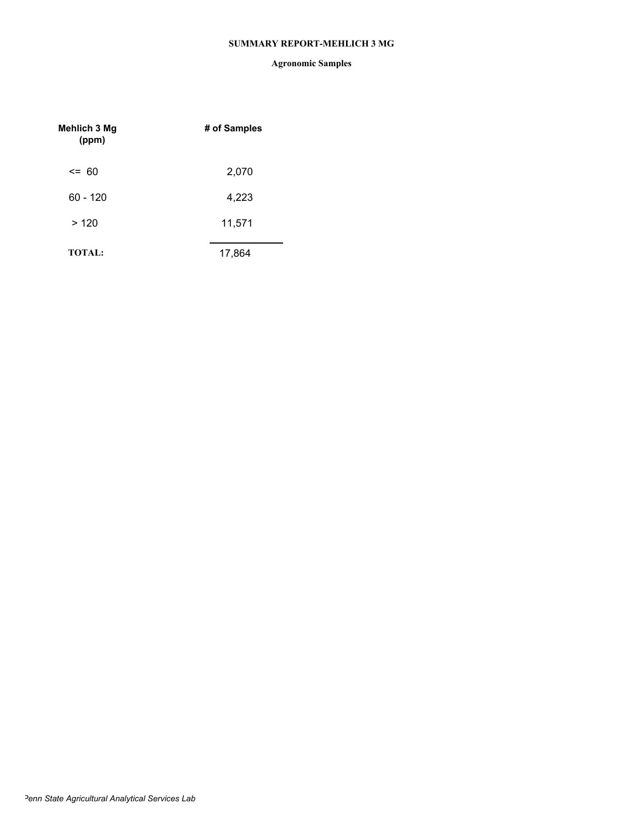#### **SUMMARY REPORT-MEHLICH 3 MG**

| Mehlich 3 Mg<br>(ppm) | # of Samples |
|-----------------------|--------------|
| $\leq$ 60             | 2,070        |
| $60 - 120$            | 4,223        |
| >120                  | 11,571       |
| <b>TOTAL:</b>         | 17,864       |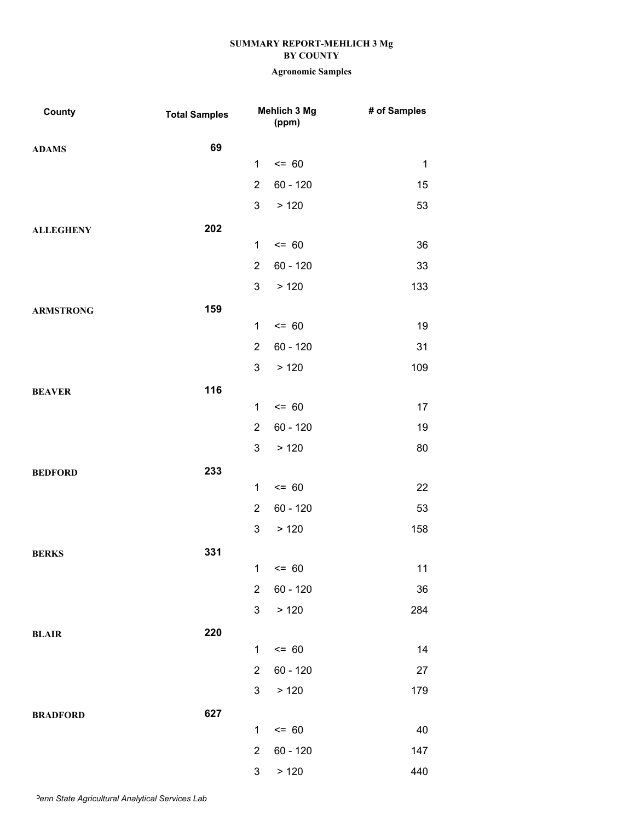| County           | <b>Total Samples</b> |                                                                               | Mehlich 3 Mg<br>(ppm)                                                 | # of Samples                               |
|------------------|----------------------|-------------------------------------------------------------------------------|-----------------------------------------------------------------------|--------------------------------------------|
| <b>ADAMS</b>     | 69                   |                                                                               |                                                                       |                                            |
|                  |                      | 1                                                                             | $= 60$                                                                | $\mathbf{1}$                               |
|                  |                      | $\overline{2}$                                                                | $60 - 120$                                                            | 15                                         |
|                  |                      | 3                                                                             | > 120                                                                 | 53                                         |
| <b>ALLEGHENY</b> | 202                  |                                                                               |                                                                       |                                            |
|                  |                      | $\mathbf 1$                                                                   | $= 60$                                                                | 36                                         |
|                  |                      | $\overline{2}$                                                                | $60 - 120$                                                            | 33                                         |
|                  |                      | 3                                                                             | >120                                                                  | 133                                        |
| <b>ARMSTRONG</b> | 159                  |                                                                               |                                                                       |                                            |
|                  |                      | $\mathbf 1$                                                                   | $= 60$                                                                | 19                                         |
|                  |                      | $\overline{2}$                                                                | $60 - 120$                                                            | 31                                         |
|                  |                      | 3                                                                             | > 120                                                                 | 109                                        |
| <b>BEAVER</b>    | 116                  |                                                                               |                                                                       |                                            |
|                  |                      | $\mathbf 1$                                                                   | $= 60$                                                                | 17                                         |
|                  |                      | $\overline{2}$                                                                | $60 - 120$                                                            | 19                                         |
|                  |                      | 3                                                                             | >120                                                                  | 80                                         |
| <b>BEDFORD</b>   | 233                  |                                                                               |                                                                       |                                            |
|                  |                      | $\mathbf 1$                                                                   | $= 60$                                                                | 22                                         |
|                  |                      | $\overline{2}$                                                                | $60 - 120$                                                            | 53                                         |
|                  |                      | 3                                                                             | > 120                                                                 | 158                                        |
| <b>BERKS</b>     | 331                  |                                                                               |                                                                       |                                            |
|                  |                      |                                                                               | $1 \le 60$                                                            | 11                                         |
|                  |                      | $\overline{2}$                                                                | $60 - 120$                                                            | 36                                         |
|                  |                      |                                                                               |                                                                       |                                            |
| <b>BLAIR</b>     |                      |                                                                               |                                                                       |                                            |
|                  |                      |                                                                               |                                                                       |                                            |
|                  |                      |                                                                               |                                                                       |                                            |
|                  |                      |                                                                               |                                                                       |                                            |
| <b>BRADFORD</b>  |                      |                                                                               |                                                                       |                                            |
|                  |                      |                                                                               |                                                                       |                                            |
|                  |                      |                                                                               |                                                                       |                                            |
|                  | 220<br>627           | 3<br>$\mathbf 1$<br>$\overline{2}$<br>3<br>$\mathbf 1$<br>$\overline{2}$<br>3 | > 120<br>$= 60$<br>$60 - 120$<br>> 120<br>$= 60$<br>60 - 120<br>> 120 | 284<br>14<br>27<br>179<br>40<br>147<br>440 |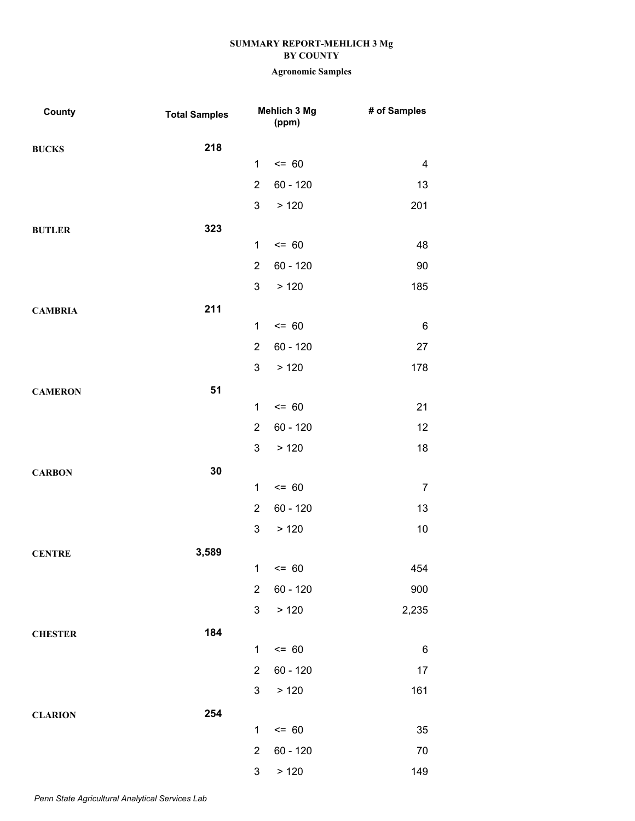| County         | <b>Total Samples</b> |                | Mehlich 3 Mg<br>(ppm) | # of Samples   |
|----------------|----------------------|----------------|-----------------------|----------------|
| <b>BUCKS</b>   | 218                  |                |                       |                |
|                |                      | $\mathbf{1}$   | $= 60$                | 4              |
|                |                      | $\overline{2}$ | $60 - 120$            | 13             |
|                |                      | 3              | >120                  | 201            |
| <b>BUTLER</b>  | 323                  |                |                       |                |
|                |                      | $\mathbf 1$    | $= 60$                | 48             |
|                |                      | $\overline{2}$ | $60 - 120$            | 90             |
|                |                      | 3              | >120                  | 185            |
| <b>CAMBRIA</b> | 211                  |                |                       |                |
|                |                      | $\mathbf 1$    | $= 60$                | $\,6$          |
|                |                      | $\overline{2}$ | $60 - 120$            | 27             |
|                |                      | 3              | >120                  | 178            |
| <b>CAMERON</b> | 51                   |                |                       |                |
|                |                      | $\mathbf 1$    | $= 60$                | 21             |
|                |                      | $\overline{2}$ | $60 - 120$            | 12             |
|                |                      | 3              | >120                  | 18             |
| <b>CARBON</b>  | 30                   |                |                       |                |
|                |                      | $\mathbf 1$    | $= 60$                | $\overline{7}$ |
|                |                      | $\overline{2}$ | $60 - 120$            | 13             |
|                |                      | 3              | >120                  | 10             |
| <b>CENTRE</b>  | 3,589                |                |                       |                |
|                |                      |                | $1 \le 60$            | 454            |
|                |                      | $\overline{2}$ | 60 - 120              | 900            |
|                |                      | 3              | > 120                 | 2,235          |
| <b>CHESTER</b> | 184                  |                |                       |                |
|                |                      | 1              | $= 60$                | $\,6$          |
|                |                      | $\overline{2}$ | 60 - 120              | 17             |
|                |                      | 3              | > 120                 | 161            |
| <b>CLARION</b> | 254                  |                |                       |                |
|                |                      | $\mathbf{1}$   | $= 60$                | 35             |
|                |                      | $\overline{2}$ | 60 - 120              | 70             |
|                |                      | 3              | > 120                 | 149            |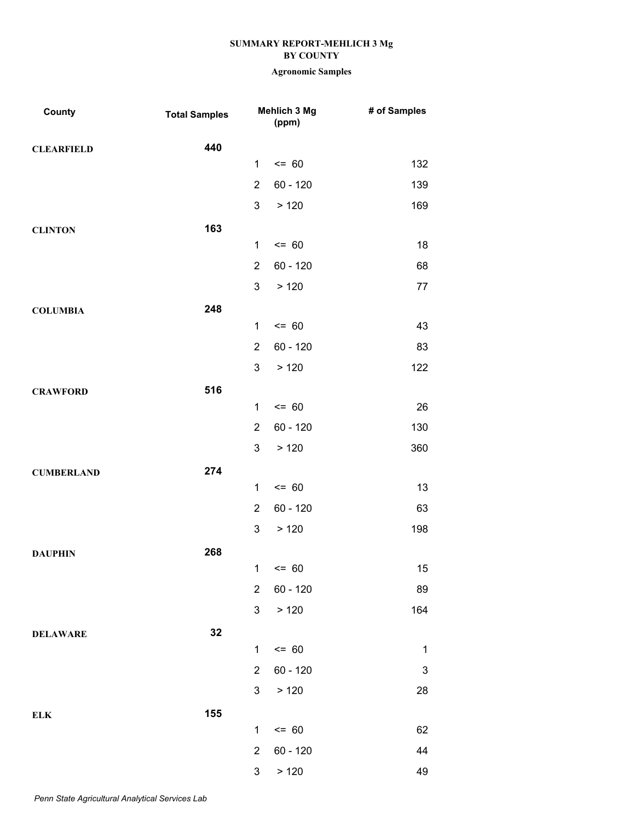| <b>County</b>     | <b>Total Samples</b> |                | Mehlich 3 Mg<br>(ppm) | # of Samples              |
|-------------------|----------------------|----------------|-----------------------|---------------------------|
| <b>CLEARFIELD</b> | 440                  |                |                       |                           |
|                   |                      | $\mathbf{1}$   | $= 60$                | 132                       |
|                   |                      | $\overline{2}$ | $60 - 120$            | 139                       |
|                   |                      | 3              | > 120                 | 169                       |
| <b>CLINTON</b>    | 163                  |                |                       |                           |
|                   |                      | $\mathbf{1}$   | $= 60$                | 18                        |
|                   |                      | $\overline{2}$ | $60 - 120$            | 68                        |
|                   |                      | 3              | > 120                 | 77                        |
| <b>COLUMBIA</b>   | 248                  |                |                       |                           |
|                   |                      | $\mathbf{1}$   | $= 60$                | 43                        |
|                   |                      | $\overline{2}$ | $60 - 120$            | 83                        |
|                   |                      | 3              | > 120                 | 122                       |
| <b>CRAWFORD</b>   | 516                  |                |                       |                           |
|                   |                      | $\mathbf{1}$   | $= 60$                | 26                        |
|                   |                      | $\overline{2}$ | $60 - 120$            | 130                       |
|                   |                      | 3              | > 120                 | 360                       |
| <b>CUMBERLAND</b> | 274                  |                |                       |                           |
|                   |                      | $\mathbf{1}$   | $= 60$                | 13                        |
|                   |                      | $\overline{2}$ | $60 - 120$            | 63                        |
|                   |                      | 3              | > 120                 | 198                       |
| <b>DAUPHIN</b>    | 268                  |                |                       |                           |
|                   |                      |                | $1 \le 60$            | 15                        |
|                   |                      | $\overline{2}$ | $60 - 120$            | 89                        |
|                   |                      | 3              | > 120                 | 164                       |
| <b>DELAWARE</b>   | 32                   |                |                       |                           |
|                   |                      | $\mathbf{1}$   | $= 60$                | $\mathbf 1$               |
|                   |                      | $\overline{2}$ | $60 - 120$            | $\ensuremath{\mathsf{3}}$ |
|                   |                      | 3              | > 120                 | 28                        |
| <b>ELK</b>        | 155                  |                |                       |                           |
|                   |                      | $\mathbf{1}$   | $= 60$                | 62                        |
|                   |                      | $\overline{2}$ | 60 - 120              | 44                        |
|                   |                      | 3              | > 120                 | 49                        |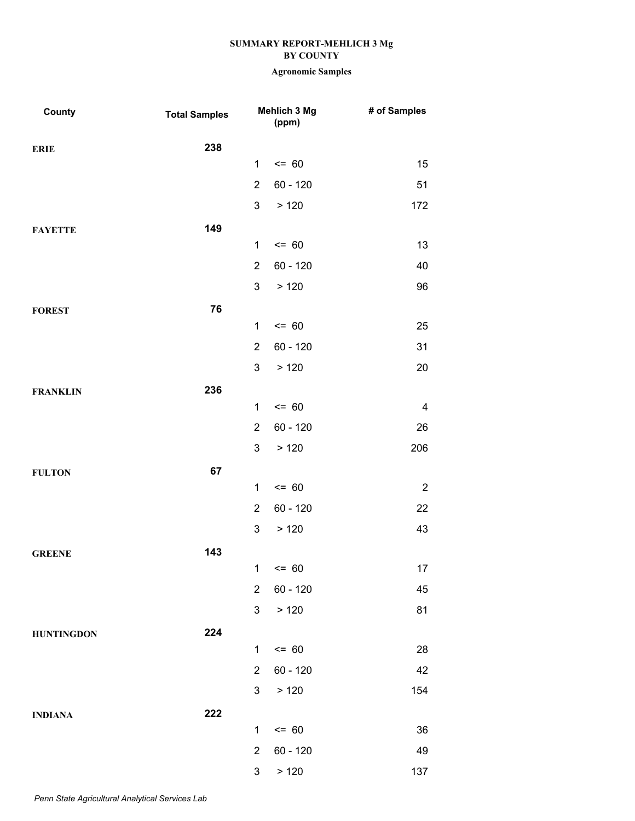| 238<br><b>ERIE</b><br>$= 60$<br>$\mathbf{1}$<br>15<br>$60 - 120$<br>$\overline{2}$<br>51<br>3<br>> 120<br>172<br>149<br><b>FAYETTE</b><br>$= 60$<br>$\mathbf{1}$<br>13<br>$\overline{2}$<br>60 - 120<br>40<br>3<br>> 120<br>96<br>76<br><b>FOREST</b><br>$= 60$<br>$\mathbf{1}$<br>25<br>$60 - 120$<br>$\overline{2}$<br>31<br>3<br>>120<br>20<br>236<br><b>FRANKLIN</b><br>$= 60$<br>$\mathbf{1}$<br>4<br>$\overline{2}$<br>60 - 120<br>26<br>3<br>> 120<br>206<br>67<br><b>FULTON</b><br>$= 60$<br>$\mathbf{1}$<br>$\overline{2}$<br>$\overline{2}$<br>60 - 120<br>22<br>3<br>> 120<br>43<br>143<br><b>GREENE</b><br>17<br>$1 \le 60$<br>$\overline{2}$<br>$60 - 120$<br>45<br>3<br>> 120<br>81<br>224<br>$= 60$<br>$\mathbf{1}$<br>28<br>$\overline{2}$<br>$60 - 120$<br>42<br>> 120<br>3<br>154 | County            | <b>Total Samples</b> | Mehlich 3 Mg<br>(ppm) | # of Samples |
|-----------------------------------------------------------------------------------------------------------------------------------------------------------------------------------------------------------------------------------------------------------------------------------------------------------------------------------------------------------------------------------------------------------------------------------------------------------------------------------------------------------------------------------------------------------------------------------------------------------------------------------------------------------------------------------------------------------------------------------------------------------------------------------------------------|-------------------|----------------------|-----------------------|--------------|
|                                                                                                                                                                                                                                                                                                                                                                                                                                                                                                                                                                                                                                                                                                                                                                                                     |                   |                      |                       |              |
|                                                                                                                                                                                                                                                                                                                                                                                                                                                                                                                                                                                                                                                                                                                                                                                                     |                   |                      |                       |              |
|                                                                                                                                                                                                                                                                                                                                                                                                                                                                                                                                                                                                                                                                                                                                                                                                     |                   |                      |                       |              |
|                                                                                                                                                                                                                                                                                                                                                                                                                                                                                                                                                                                                                                                                                                                                                                                                     |                   |                      |                       |              |
|                                                                                                                                                                                                                                                                                                                                                                                                                                                                                                                                                                                                                                                                                                                                                                                                     |                   |                      |                       |              |
|                                                                                                                                                                                                                                                                                                                                                                                                                                                                                                                                                                                                                                                                                                                                                                                                     |                   |                      |                       |              |
|                                                                                                                                                                                                                                                                                                                                                                                                                                                                                                                                                                                                                                                                                                                                                                                                     |                   |                      |                       |              |
|                                                                                                                                                                                                                                                                                                                                                                                                                                                                                                                                                                                                                                                                                                                                                                                                     |                   |                      |                       |              |
|                                                                                                                                                                                                                                                                                                                                                                                                                                                                                                                                                                                                                                                                                                                                                                                                     |                   |                      |                       |              |
|                                                                                                                                                                                                                                                                                                                                                                                                                                                                                                                                                                                                                                                                                                                                                                                                     |                   |                      |                       |              |
|                                                                                                                                                                                                                                                                                                                                                                                                                                                                                                                                                                                                                                                                                                                                                                                                     |                   |                      |                       |              |
|                                                                                                                                                                                                                                                                                                                                                                                                                                                                                                                                                                                                                                                                                                                                                                                                     |                   |                      |                       |              |
|                                                                                                                                                                                                                                                                                                                                                                                                                                                                                                                                                                                                                                                                                                                                                                                                     |                   |                      |                       |              |
|                                                                                                                                                                                                                                                                                                                                                                                                                                                                                                                                                                                                                                                                                                                                                                                                     |                   |                      |                       |              |
|                                                                                                                                                                                                                                                                                                                                                                                                                                                                                                                                                                                                                                                                                                                                                                                                     |                   |                      |                       |              |
|                                                                                                                                                                                                                                                                                                                                                                                                                                                                                                                                                                                                                                                                                                                                                                                                     |                   |                      |                       |              |
|                                                                                                                                                                                                                                                                                                                                                                                                                                                                                                                                                                                                                                                                                                                                                                                                     |                   |                      |                       |              |
|                                                                                                                                                                                                                                                                                                                                                                                                                                                                                                                                                                                                                                                                                                                                                                                                     |                   |                      |                       |              |
|                                                                                                                                                                                                                                                                                                                                                                                                                                                                                                                                                                                                                                                                                                                                                                                                     |                   |                      |                       |              |
|                                                                                                                                                                                                                                                                                                                                                                                                                                                                                                                                                                                                                                                                                                                                                                                                     |                   |                      |                       |              |
|                                                                                                                                                                                                                                                                                                                                                                                                                                                                                                                                                                                                                                                                                                                                                                                                     |                   |                      |                       |              |
|                                                                                                                                                                                                                                                                                                                                                                                                                                                                                                                                                                                                                                                                                                                                                                                                     |                   |                      |                       |              |
|                                                                                                                                                                                                                                                                                                                                                                                                                                                                                                                                                                                                                                                                                                                                                                                                     |                   |                      |                       |              |
|                                                                                                                                                                                                                                                                                                                                                                                                                                                                                                                                                                                                                                                                                                                                                                                                     |                   |                      |                       |              |
|                                                                                                                                                                                                                                                                                                                                                                                                                                                                                                                                                                                                                                                                                                                                                                                                     | <b>HUNTINGDON</b> |                      |                       |              |
|                                                                                                                                                                                                                                                                                                                                                                                                                                                                                                                                                                                                                                                                                                                                                                                                     |                   |                      |                       |              |
|                                                                                                                                                                                                                                                                                                                                                                                                                                                                                                                                                                                                                                                                                                                                                                                                     |                   |                      |                       |              |
|                                                                                                                                                                                                                                                                                                                                                                                                                                                                                                                                                                                                                                                                                                                                                                                                     |                   |                      |                       |              |
| $= 60$<br>$\mathbf{1}$<br>36                                                                                                                                                                                                                                                                                                                                                                                                                                                                                                                                                                                                                                                                                                                                                                        | <b>INDIANA</b>    | 222                  |                       |              |
| 60 - 120<br>49<br>$\overline{2}$                                                                                                                                                                                                                                                                                                                                                                                                                                                                                                                                                                                                                                                                                                                                                                    |                   |                      |                       |              |
| 3<br>> 120<br>137                                                                                                                                                                                                                                                                                                                                                                                                                                                                                                                                                                                                                                                                                                                                                                                   |                   |                      |                       |              |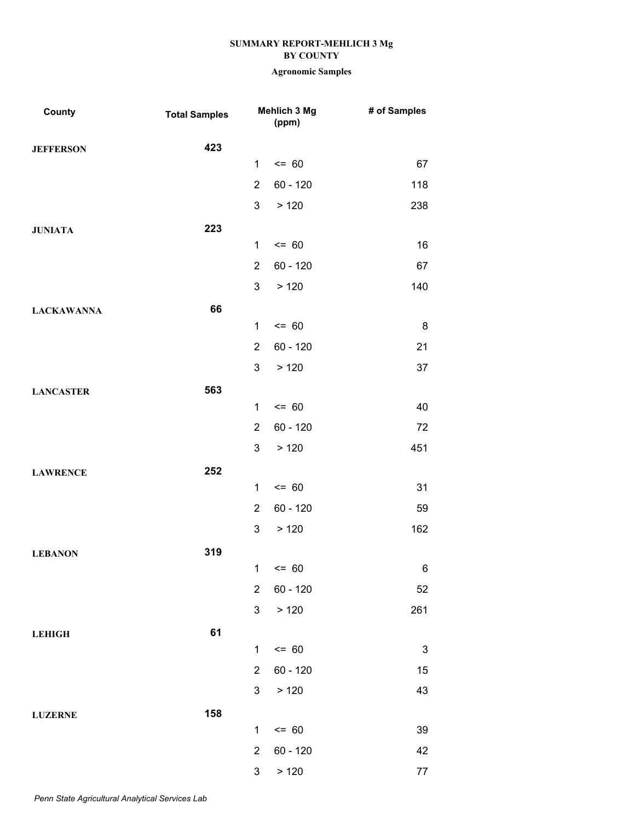| County            | <b>Total Samples</b> |                         | Mehlich 3 Mg<br>(ppm) | # of Samples              |
|-------------------|----------------------|-------------------------|-----------------------|---------------------------|
| <b>JEFFERSON</b>  | 423                  |                         |                       |                           |
|                   |                      | $\mathbf{1}$            | $= 60$                | 67                        |
|                   |                      | $\overline{2}$          | $60 - 120$            | 118                       |
|                   |                      | 3                       | > 120                 | 238                       |
| <b>JUNIATA</b>    | 223                  |                         |                       |                           |
|                   |                      | $\mathbf{1}$            | $= 60$                | 16                        |
|                   |                      | $\overline{2}$          | $60 - 120$            | 67                        |
|                   |                      | 3                       | > 120                 | 140                       |
| <b>LACKAWANNA</b> | 66                   |                         |                       |                           |
|                   |                      | $\mathbf{1}$            | $= 60$                | 8                         |
|                   |                      | $\overline{2}$          | $60 - 120$            | 21                        |
|                   |                      | 3                       | > 120                 | 37                        |
| <b>LANCASTER</b>  | 563                  |                         |                       |                           |
|                   |                      | $\mathbf{1}$            | $= 60$                | 40                        |
|                   |                      | $\overline{2}$          | $60 - 120$            | 72                        |
|                   |                      | 3                       | > 120                 | 451                       |
| <b>LAWRENCE</b>   | 252                  |                         |                       |                           |
|                   |                      | $\mathbf{1}$            | $= 60$                | 31                        |
|                   |                      | $\overline{2}$          | $60 - 120$            | 59                        |
|                   |                      | 3                       | > 120                 | 162                       |
| <b>LEBANON</b>    | 319                  |                         |                       |                           |
|                   |                      |                         | $1 \le 60$            | 6                         |
|                   |                      | $\overline{2}$          | $60 - 120$            | 52                        |
|                   |                      | 3                       | > 120                 | 261                       |
| <b>LEHIGH</b>     | 61                   |                         |                       |                           |
|                   |                      | $\mathbf{1}$            | $= 60$                | $\ensuremath{\mathsf{3}}$ |
|                   |                      | $\overline{2}$          | $60 - 120$            | 15                        |
|                   |                      | 3                       | > 120                 | 43                        |
| <b>LUZERNE</b>    | 158                  |                         |                       |                           |
|                   |                      | $\mathbf{1}$            | $= 60$                | 39                        |
|                   |                      | $\overline{\mathbf{c}}$ | $60 - 120$            | 42                        |
|                   |                      | 3                       | > 120                 | 77                        |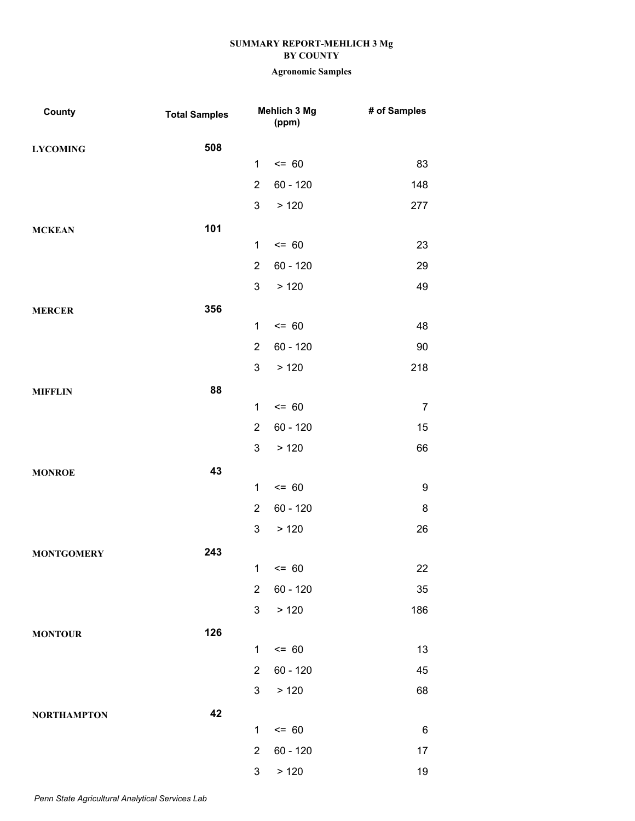| County             | <b>Total Samples</b> |                | Mehlich 3 Mg<br>(ppm) | # of Samples     |
|--------------------|----------------------|----------------|-----------------------|------------------|
| <b>LYCOMING</b>    | 508                  |                |                       |                  |
|                    |                      | $\mathbf{1}$   | $= 60$                | 83               |
|                    |                      | $\overline{2}$ | 60 - 120              | 148              |
|                    |                      | 3              | > 120                 | 277              |
| <b>MCKEAN</b>      | 101                  |                |                       |                  |
|                    |                      | $\mathbf{1}$   | $= 60$                | 23               |
|                    |                      | $\overline{2}$ | 60 - 120              | 29               |
|                    |                      | 3              | >120                  | 49               |
| <b>MERCER</b>      | 356                  |                |                       |                  |
|                    |                      | $\mathbf{1}$   | $= 60$                | 48               |
|                    |                      | $\overline{2}$ | 60 - 120              | 90               |
|                    |                      | 3              | > 120                 | 218              |
| <b>MIFFLIN</b>     | 88                   |                |                       |                  |
|                    |                      | $\mathbf{1}$   | $= 60$                | $\overline{7}$   |
|                    |                      | $\overline{2}$ | 60 - 120              | 15               |
|                    |                      | 3              | >120                  | 66               |
| <b>MONROE</b>      | 43                   |                |                       |                  |
|                    |                      | $\mathbf{1}$   | $= 60$                | $\boldsymbol{9}$ |
|                    |                      | $\overline{2}$ | 60 - 120              | 8                |
|                    |                      | 3              | > 120                 | 26               |
| <b>MONTGOMERY</b>  | 243                  |                |                       |                  |
|                    |                      |                | $1 \le 60$            | 22               |
|                    |                      | $\overline{2}$ | $60 - 120$            | 35               |
|                    |                      | 3              | > 120                 | 186              |
| <b>MONTOUR</b>     | 126                  |                |                       |                  |
|                    |                      | $\mathbf{1}$   | $= 60$                | 13               |
|                    |                      | $\overline{2}$ | $60 - 120$            | 45               |
|                    |                      | 3              | > 120                 | 68               |
| <b>NORTHAMPTON</b> | 42                   |                |                       |                  |
|                    |                      | $\mathbf{1}$   | $= 60$                | 6                |
|                    |                      | $\overline{2}$ | 60 - 120              | 17               |
|                    |                      | 3              | > 120                 | 19               |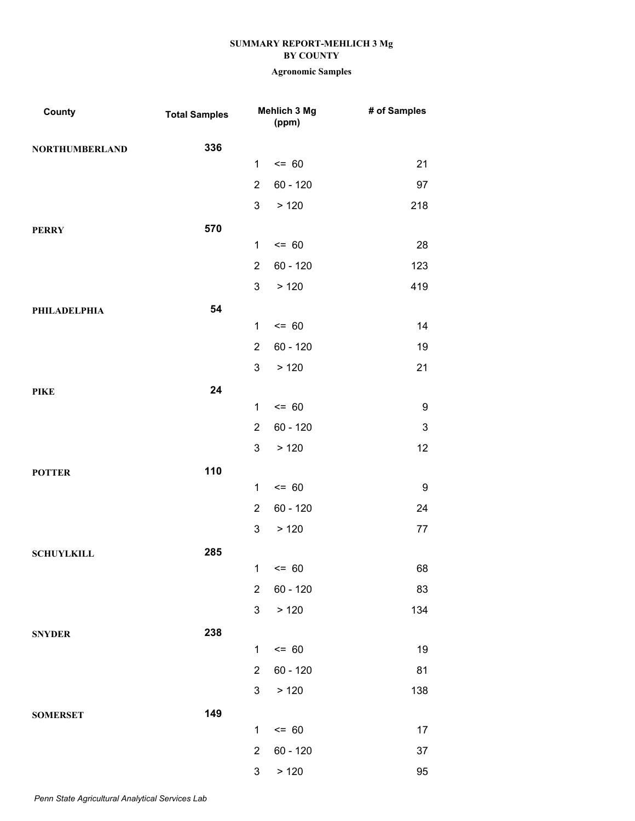| County                | <b>Total Samples</b> |                | Mehlich 3 Mg<br>(ppm) | # of Samples              |
|-----------------------|----------------------|----------------|-----------------------|---------------------------|
| <b>NORTHUMBERLAND</b> | 336                  |                |                       |                           |
|                       |                      | 1              | $= 60$                | 21                        |
|                       |                      | $\overline{2}$ | $60 - 120$            | 97                        |
|                       |                      | 3              | > 120                 | 218                       |
| <b>PERRY</b>          | 570                  |                |                       |                           |
|                       |                      | $\mathbf 1$    | $= 60$                | 28                        |
|                       |                      | $\overline{2}$ | $60 - 120$            | 123                       |
|                       |                      | 3              | >120                  | 419                       |
| PHILADELPHIA          | 54                   |                |                       |                           |
|                       |                      | $\mathbf{1}$   | $= 60$                | 14                        |
|                       |                      | $\overline{2}$ | $60 - 120$            | 19                        |
|                       |                      | 3              | > 120                 | 21                        |
| <b>PIKE</b>           | 24                   |                |                       |                           |
|                       |                      | $\mathbf{1}$   | $= 60$                | 9                         |
|                       |                      | $\overline{2}$ | $60 - 120$            | $\ensuremath{\mathsf{3}}$ |
|                       |                      | 3              | >120                  | 12                        |
| <b>POTTER</b>         | 110                  |                |                       |                           |
|                       |                      | $\mathbf{1}$   | $= 60$                | $\boldsymbol{9}$          |
|                       |                      | $\overline{2}$ | $60 - 120$            | 24                        |
|                       |                      | 3              | > 120                 | 77                        |
| <b>SCHUYLKILL</b>     | 285                  |                |                       |                           |
|                       |                      |                | $1 \le 60$            | 68                        |
|                       |                      | $\overline{2}$ | $60 - 120$            | 83                        |
|                       |                      | 3              | > 120                 | 134                       |
| <b>SNYDER</b>         | 238                  |                |                       |                           |
|                       |                      | 1              | $= 60$                | 19                        |
|                       |                      | $\overline{2}$ | $60 - 120$            | 81                        |
|                       |                      | 3              | > 120                 | 138                       |
| <b>SOMERSET</b>       | 149                  |                |                       |                           |
|                       |                      | $\mathbf 1$    | $= 60$                | 17                        |
|                       |                      | $\overline{2}$ | 60 - 120              | 37                        |
|                       |                      | 3              | > 120                 | 95                        |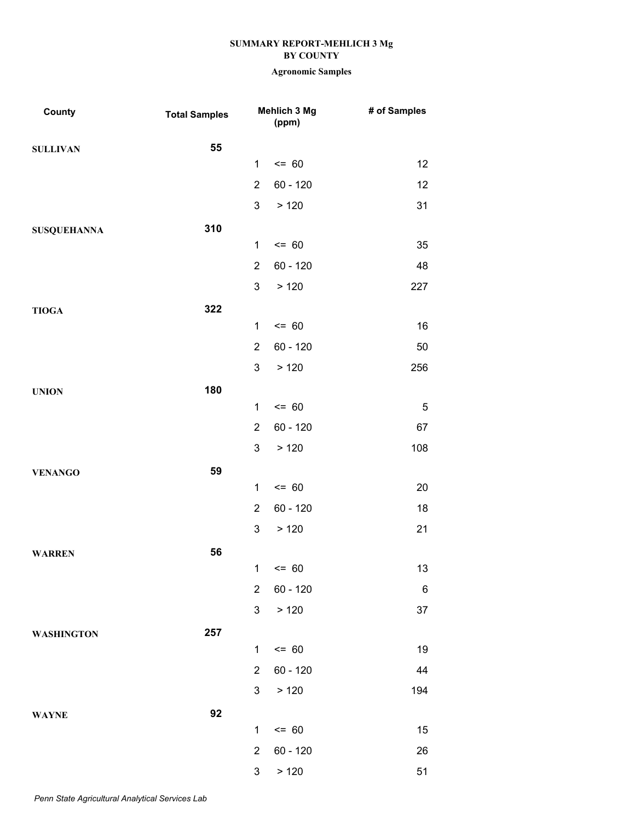| County             | <b>Total Samples</b> |                | Mehlich 3 Mg<br>(ppm) | # of Samples    |
|--------------------|----------------------|----------------|-----------------------|-----------------|
| <b>SULLIVAN</b>    | 55                   |                |                       |                 |
|                    |                      | $\mathbf{1}$   | $= 60$                | 12              |
|                    |                      | $\overline{2}$ | $60 - 120$            | 12              |
|                    |                      | 3              | > 120                 | 31              |
| <b>SUSQUEHANNA</b> | 310                  |                |                       |                 |
|                    |                      | $\mathbf{1}$   | $= 60$                | 35              |
|                    |                      | $\overline{2}$ | $60 - 120$            | 48              |
|                    |                      | 3              | > 120                 | 227             |
| <b>TIOGA</b>       | 322                  |                |                       |                 |
|                    |                      | $\mathbf{1}$   | $= 60$                | 16              |
|                    |                      | $\overline{2}$ | $60 - 120$            | 50              |
|                    |                      | 3              | > 120                 | 256             |
| <b>UNION</b>       | 180                  |                |                       |                 |
|                    |                      | $\mathbf{1}$   | $= 60$                | $\mathbf 5$     |
|                    |                      | $\overline{2}$ | $60 - 120$            | 67              |
|                    |                      | 3              | > 120                 | 108             |
| <b>VENANGO</b>     | 59                   |                |                       |                 |
|                    |                      | $\mathbf{1}$   | $= 60$                | 20              |
|                    |                      | $\overline{2}$ | $60 - 120$            | 18              |
|                    |                      | 3              | > 120                 | 21              |
| <b>WARREN</b>      | 56                   |                |                       |                 |
|                    |                      |                | $1 \le 60$            | 13              |
|                    |                      | $\overline{2}$ | $60 - 120$            | $6\phantom{.}6$ |
|                    |                      | 3              | > 120                 | 37              |
| <b>WASHINGTON</b>  | 257                  |                |                       |                 |
|                    |                      | $\mathbf{1}$   | $= 60$                | 19              |
|                    |                      | $\overline{2}$ | $60 - 120$            | 44              |
|                    |                      | 3              | > 120                 | 194             |
| <b>WAYNE</b>       | 92                   |                |                       |                 |
|                    |                      | $\mathbf{1}$   | $= 60$                | 15              |
|                    |                      | $\overline{2}$ | $60 - 120$            | 26              |
|                    |                      | 3              | > 120                 | 51              |